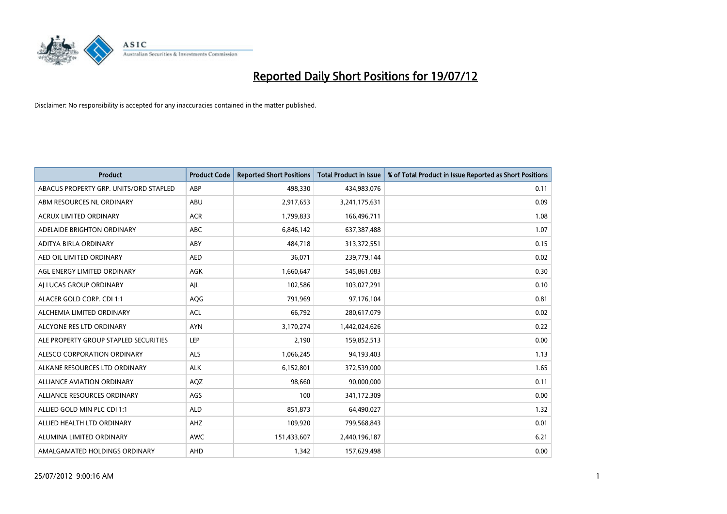

| <b>Product</b>                         | <b>Product Code</b> | <b>Reported Short Positions</b> | <b>Total Product in Issue</b> | % of Total Product in Issue Reported as Short Positions |
|----------------------------------------|---------------------|---------------------------------|-------------------------------|---------------------------------------------------------|
| ABACUS PROPERTY GRP. UNITS/ORD STAPLED | ABP                 | 498,330                         | 434,983,076                   | 0.11                                                    |
| ABM RESOURCES NL ORDINARY              | <b>ABU</b>          | 2,917,653                       | 3,241,175,631                 | 0.09                                                    |
| <b>ACRUX LIMITED ORDINARY</b>          | <b>ACR</b>          | 1,799,833                       | 166,496,711                   | 1.08                                                    |
| ADELAIDE BRIGHTON ORDINARY             | <b>ABC</b>          | 6,846,142                       | 637,387,488                   | 1.07                                                    |
| ADITYA BIRLA ORDINARY                  | ABY                 | 484,718                         | 313,372,551                   | 0.15                                                    |
| AED OIL LIMITED ORDINARY               | <b>AED</b>          | 36,071                          | 239,779,144                   | 0.02                                                    |
| AGL ENERGY LIMITED ORDINARY            | <b>AGK</b>          | 1,660,647                       | 545,861,083                   | 0.30                                                    |
| AI LUCAS GROUP ORDINARY                | AJL                 | 102,586                         | 103,027,291                   | 0.10                                                    |
| ALACER GOLD CORP. CDI 1:1              | <b>AQG</b>          | 791,969                         | 97,176,104                    | 0.81                                                    |
| ALCHEMIA LIMITED ORDINARY              | <b>ACL</b>          | 66,792                          | 280,617,079                   | 0.02                                                    |
| ALCYONE RES LTD ORDINARY               | <b>AYN</b>          | 3,170,274                       | 1,442,024,626                 | 0.22                                                    |
| ALE PROPERTY GROUP STAPLED SECURITIES  | LEP                 | 2,190                           | 159,852,513                   | 0.00                                                    |
| ALESCO CORPORATION ORDINARY            | <b>ALS</b>          | 1,066,245                       | 94,193,403                    | 1.13                                                    |
| ALKANE RESOURCES LTD ORDINARY          | <b>ALK</b>          | 6,152,801                       | 372,539,000                   | 1.65                                                    |
| <b>ALLIANCE AVIATION ORDINARY</b>      | AQZ                 | 98,660                          | 90,000,000                    | 0.11                                                    |
| ALLIANCE RESOURCES ORDINARY            | AGS                 | 100                             | 341,172,309                   | 0.00                                                    |
| ALLIED GOLD MIN PLC CDI 1:1            | <b>ALD</b>          | 851,873                         | 64,490,027                    | 1.32                                                    |
| ALLIED HEALTH LTD ORDINARY             | AHZ                 | 109,920                         | 799,568,843                   | 0.01                                                    |
| ALUMINA LIMITED ORDINARY               | <b>AWC</b>          | 151,433,607                     | 2,440,196,187                 | 6.21                                                    |
| AMALGAMATED HOLDINGS ORDINARY          | AHD                 | 1,342                           | 157,629,498                   | 0.00                                                    |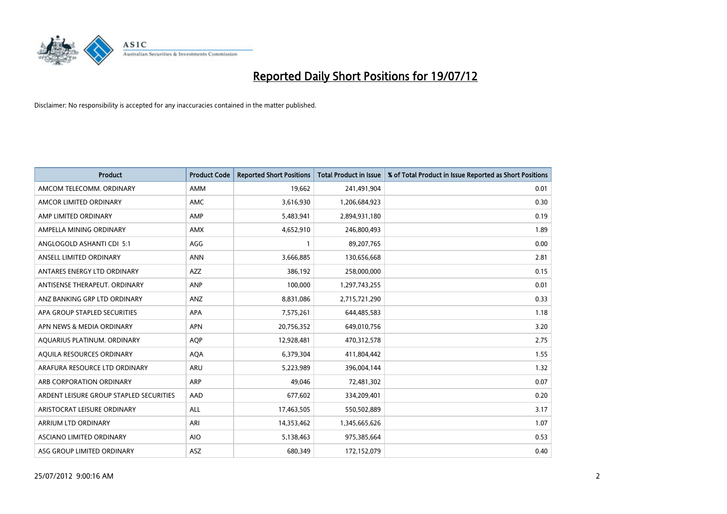

| <b>Product</b>                          | <b>Product Code</b> | <b>Reported Short Positions</b> | <b>Total Product in Issue</b> | % of Total Product in Issue Reported as Short Positions |
|-----------------------------------------|---------------------|---------------------------------|-------------------------------|---------------------------------------------------------|
| AMCOM TELECOMM, ORDINARY                | <b>AMM</b>          | 19,662                          | 241,491,904                   | 0.01                                                    |
| AMCOR LIMITED ORDINARY                  | <b>AMC</b>          | 3,616,930                       | 1,206,684,923                 | 0.30                                                    |
| AMP LIMITED ORDINARY                    | AMP                 | 5,483,941                       | 2,894,931,180                 | 0.19                                                    |
| AMPELLA MINING ORDINARY                 | <b>AMX</b>          | 4,652,910                       | 246,800,493                   | 1.89                                                    |
| ANGLOGOLD ASHANTI CDI 5:1               | AGG                 |                                 | 89,207,765                    | 0.00                                                    |
| ANSELL LIMITED ORDINARY                 | <b>ANN</b>          | 3,666,885                       | 130,656,668                   | 2.81                                                    |
| ANTARES ENERGY LTD ORDINARY             | <b>AZZ</b>          | 386,192                         | 258,000,000                   | 0.15                                                    |
| ANTISENSE THERAPEUT, ORDINARY           | <b>ANP</b>          | 100,000                         | 1,297,743,255                 | 0.01                                                    |
| ANZ BANKING GRP LTD ORDINARY            | ANZ                 | 8,831,086                       | 2,715,721,290                 | 0.33                                                    |
| APA GROUP STAPLED SECURITIES            | <b>APA</b>          | 7,575,261                       | 644,485,583                   | 1.18                                                    |
| APN NEWS & MEDIA ORDINARY               | <b>APN</b>          | 20,756,352                      | 649,010,756                   | 3.20                                                    |
| AQUARIUS PLATINUM. ORDINARY             | AQP                 | 12,928,481                      | 470,312,578                   | 2.75                                                    |
| AQUILA RESOURCES ORDINARY               | <b>AQA</b>          | 6,379,304                       | 411,804,442                   | 1.55                                                    |
| ARAFURA RESOURCE LTD ORDINARY           | <b>ARU</b>          | 5,223,989                       | 396,004,144                   | 1.32                                                    |
| ARB CORPORATION ORDINARY                | <b>ARP</b>          | 49,046                          | 72,481,302                    | 0.07                                                    |
| ARDENT LEISURE GROUP STAPLED SECURITIES | AAD                 | 677,602                         | 334,209,401                   | 0.20                                                    |
| ARISTOCRAT LEISURE ORDINARY             | <b>ALL</b>          | 17,463,505                      | 550,502,889                   | 3.17                                                    |
| ARRIUM LTD ORDINARY                     | ARI                 | 14,353,462                      | 1,345,665,626                 | 1.07                                                    |
| ASCIANO LIMITED ORDINARY                | <b>AIO</b>          | 5,138,463                       | 975,385,664                   | 0.53                                                    |
| ASG GROUP LIMITED ORDINARY              | <b>ASZ</b>          | 680.349                         | 172,152,079                   | 0.40                                                    |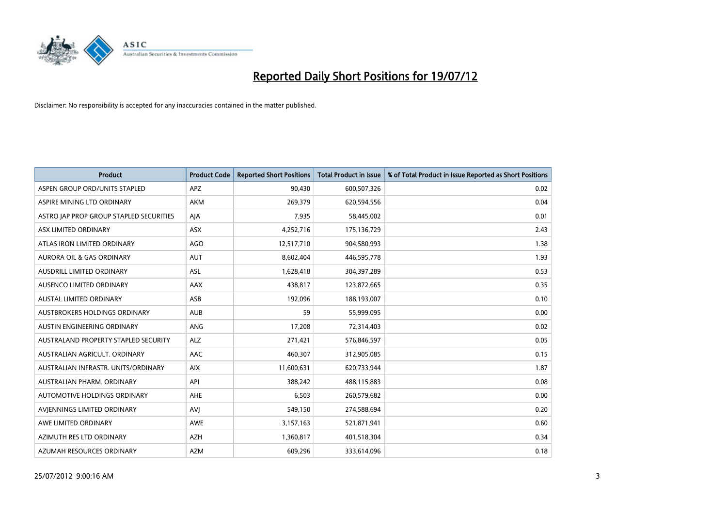

| <b>Product</b>                              | <b>Product Code</b> | <b>Reported Short Positions</b> | <b>Total Product in Issue</b> | % of Total Product in Issue Reported as Short Positions |
|---------------------------------------------|---------------------|---------------------------------|-------------------------------|---------------------------------------------------------|
| ASPEN GROUP ORD/UNITS STAPLED               | <b>APZ</b>          | 90,430                          | 600,507,326                   | 0.02                                                    |
| ASPIRE MINING LTD ORDINARY                  | <b>AKM</b>          | 269,379                         | 620,594,556                   | 0.04                                                    |
| ASTRO JAP PROP GROUP STAPLED SECURITIES     | AJA                 | 7,935                           | 58,445,002                    | 0.01                                                    |
| ASX LIMITED ORDINARY                        | ASX                 | 4,252,716                       | 175,136,729                   | 2.43                                                    |
| ATLAS IRON LIMITED ORDINARY                 | AGO                 | 12,517,710                      | 904,580,993                   | 1.38                                                    |
| <b>AURORA OIL &amp; GAS ORDINARY</b>        | <b>AUT</b>          | 8,602,404                       | 446,595,778                   | 1.93                                                    |
| AUSDRILL LIMITED ORDINARY                   | <b>ASL</b>          | 1,628,418                       | 304,397,289                   | 0.53                                                    |
| AUSENCO LIMITED ORDINARY                    | AAX                 | 438,817                         | 123,872,665                   | 0.35                                                    |
| <b>AUSTAL LIMITED ORDINARY</b>              | ASB                 | 192,096                         | 188,193,007                   | 0.10                                                    |
| AUSTBROKERS HOLDINGS ORDINARY               | <b>AUB</b>          | 59                              | 55,999,095                    | 0.00                                                    |
| AUSTIN ENGINEERING ORDINARY                 | ANG                 | 17,208                          | 72,314,403                    | 0.02                                                    |
| <b>AUSTRALAND PROPERTY STAPLED SECURITY</b> | <b>ALZ</b>          | 271,421                         | 576,846,597                   | 0.05                                                    |
| AUSTRALIAN AGRICULT. ORDINARY               | AAC                 | 460,307                         | 312,905,085                   | 0.15                                                    |
| AUSTRALIAN INFRASTR. UNITS/ORDINARY         | <b>AIX</b>          | 11,600,631                      | 620,733,944                   | 1.87                                                    |
| AUSTRALIAN PHARM, ORDINARY                  | API                 | 388,242                         | 488,115,883                   | 0.08                                                    |
| AUTOMOTIVE HOLDINGS ORDINARY                | AHE                 | 6,503                           | 260,579,682                   | 0.00                                                    |
| AVIENNINGS LIMITED ORDINARY                 | AVI                 | 549,150                         | 274,588,694                   | 0.20                                                    |
| AWE LIMITED ORDINARY                        | <b>AWE</b>          | 3,157,163                       | 521,871,941                   | 0.60                                                    |
| AZIMUTH RES LTD ORDINARY                    | <b>AZH</b>          | 1,360,817                       | 401,518,304                   | 0.34                                                    |
| AZUMAH RESOURCES ORDINARY                   | <b>AZM</b>          | 609,296                         | 333,614,096                   | 0.18                                                    |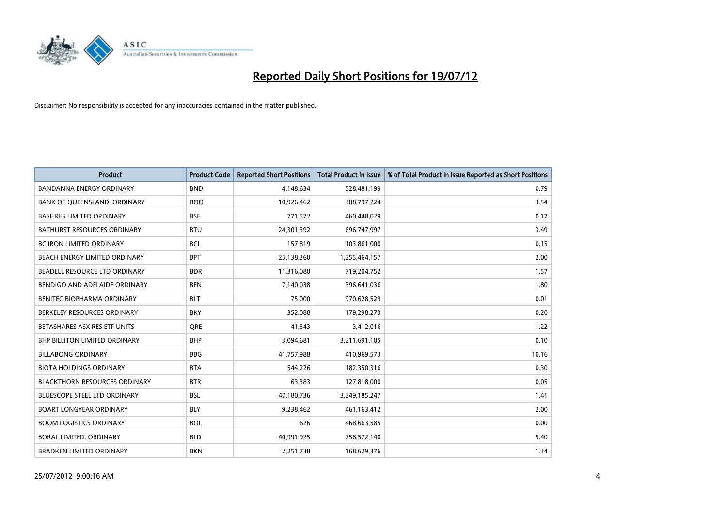

| <b>Product</b>                       | <b>Product Code</b> | <b>Reported Short Positions</b> | <b>Total Product in Issue</b> | % of Total Product in Issue Reported as Short Positions |
|--------------------------------------|---------------------|---------------------------------|-------------------------------|---------------------------------------------------------|
| <b>BANDANNA ENERGY ORDINARY</b>      | <b>BND</b>          | 4,148,634                       | 528,481,199                   | 0.79                                                    |
| BANK OF QUEENSLAND. ORDINARY         | <b>BOQ</b>          | 10,926,462                      | 308,797,224                   | 3.54                                                    |
| <b>BASE RES LIMITED ORDINARY</b>     | <b>BSE</b>          | 771,572                         | 460,440,029                   | 0.17                                                    |
| <b>BATHURST RESOURCES ORDINARY</b>   | <b>BTU</b>          | 24,301,392                      | 696,747,997                   | 3.49                                                    |
| <b>BC IRON LIMITED ORDINARY</b>      | <b>BCI</b>          | 157,819                         | 103,861,000                   | 0.15                                                    |
| BEACH ENERGY LIMITED ORDINARY        | <b>BPT</b>          | 25,138,360                      | 1,255,464,157                 | 2.00                                                    |
| BEADELL RESOURCE LTD ORDINARY        | <b>BDR</b>          | 11,316,080                      | 719,204,752                   | 1.57                                                    |
| BENDIGO AND ADELAIDE ORDINARY        | <b>BEN</b>          | 7,140,038                       | 396,641,036                   | 1.80                                                    |
| BENITEC BIOPHARMA ORDINARY           | <b>BLT</b>          | 75,000                          | 970,628,529                   | 0.01                                                    |
| BERKELEY RESOURCES ORDINARY          | <b>BKY</b>          | 352,088                         | 179,298,273                   | 0.20                                                    |
| BETASHARES ASX RES ETF UNITS         | <b>ORE</b>          | 41,543                          | 3,412,016                     | 1.22                                                    |
| BHP BILLITON LIMITED ORDINARY        | <b>BHP</b>          | 3,094,681                       | 3,211,691,105                 | 0.10                                                    |
| <b>BILLABONG ORDINARY</b>            | <b>BBG</b>          | 41,757,988                      | 410,969,573                   | 10.16                                                   |
| <b>BIOTA HOLDINGS ORDINARY</b>       | <b>BTA</b>          | 544.226                         | 182,350,316                   | 0.30                                                    |
| <b>BLACKTHORN RESOURCES ORDINARY</b> | <b>BTR</b>          | 63,383                          | 127,818,000                   | 0.05                                                    |
| <b>BLUESCOPE STEEL LTD ORDINARY</b>  | <b>BSL</b>          | 47,180,736                      | 3,349,185,247                 | 1.41                                                    |
| <b>BOART LONGYEAR ORDINARY</b>       | <b>BLY</b>          | 9,238,462                       | 461,163,412                   | 2.00                                                    |
| <b>BOOM LOGISTICS ORDINARY</b>       | <b>BOL</b>          | 626                             | 468,663,585                   | 0.00                                                    |
| <b>BORAL LIMITED, ORDINARY</b>       | <b>BLD</b>          | 40,991,925                      | 758,572,140                   | 5.40                                                    |
| <b>BRADKEN LIMITED ORDINARY</b>      | <b>BKN</b>          | 2,251,738                       | 168,629,376                   | 1.34                                                    |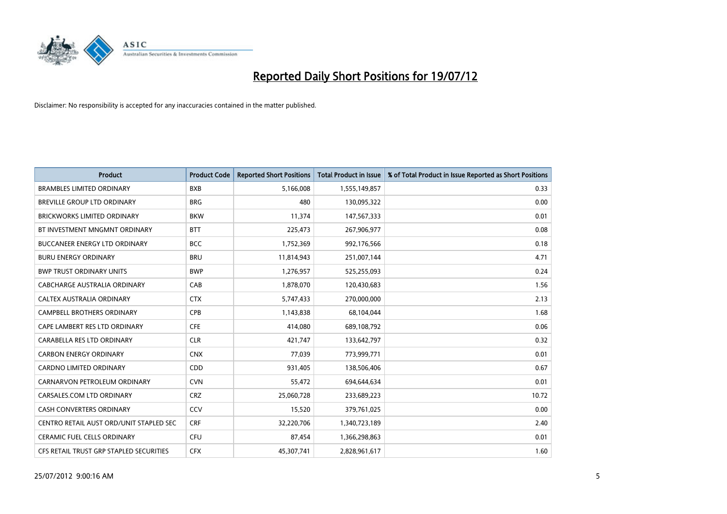

| <b>Product</b>                          | <b>Product Code</b> | <b>Reported Short Positions</b> | <b>Total Product in Issue</b> | % of Total Product in Issue Reported as Short Positions |
|-----------------------------------------|---------------------|---------------------------------|-------------------------------|---------------------------------------------------------|
| <b>BRAMBLES LIMITED ORDINARY</b>        | <b>BXB</b>          | 5,166,008                       | 1,555,149,857                 | 0.33                                                    |
| BREVILLE GROUP LTD ORDINARY             | <b>BRG</b>          | 480                             | 130,095,322                   | 0.00                                                    |
| <b>BRICKWORKS LIMITED ORDINARY</b>      | <b>BKW</b>          | 11,374                          | 147,567,333                   | 0.01                                                    |
| BT INVESTMENT MNGMNT ORDINARY           | <b>BTT</b>          | 225,473                         | 267,906,977                   | 0.08                                                    |
| <b>BUCCANEER ENERGY LTD ORDINARY</b>    | <b>BCC</b>          | 1,752,369                       | 992,176,566                   | 0.18                                                    |
| <b>BURU ENERGY ORDINARY</b>             | <b>BRU</b>          | 11,814,943                      | 251,007,144                   | 4.71                                                    |
| <b>BWP TRUST ORDINARY UNITS</b>         | <b>BWP</b>          | 1,276,957                       | 525,255,093                   | 0.24                                                    |
| CABCHARGE AUSTRALIA ORDINARY            | CAB                 | 1,878,070                       | 120,430,683                   | 1.56                                                    |
| CALTEX AUSTRALIA ORDINARY               | <b>CTX</b>          | 5,747,433                       | 270,000,000                   | 2.13                                                    |
| <b>CAMPBELL BROTHERS ORDINARY</b>       | CPB                 | 1,143,838                       | 68,104,044                    | 1.68                                                    |
| CAPE LAMBERT RES LTD ORDINARY           | <b>CFE</b>          | 414,080                         | 689,108,792                   | 0.06                                                    |
| CARABELLA RES LTD ORDINARY              | <b>CLR</b>          | 421,747                         | 133,642,797                   | 0.32                                                    |
| <b>CARBON ENERGY ORDINARY</b>           | <b>CNX</b>          | 77,039                          | 773,999,771                   | 0.01                                                    |
| <b>CARDNO LIMITED ORDINARY</b>          | CDD                 | 931,405                         | 138,506,406                   | 0.67                                                    |
| CARNARVON PETROLEUM ORDINARY            | <b>CVN</b>          | 55,472                          | 694,644,634                   | 0.01                                                    |
| CARSALES.COM LTD ORDINARY               | <b>CRZ</b>          | 25,060,728                      | 233,689,223                   | 10.72                                                   |
| <b>CASH CONVERTERS ORDINARY</b>         | CCV                 | 15,520                          | 379,761,025                   | 0.00                                                    |
| CENTRO RETAIL AUST ORD/UNIT STAPLED SEC | <b>CRF</b>          | 32,220,706                      | 1,340,723,189                 | 2.40                                                    |
| <b>CERAMIC FUEL CELLS ORDINARY</b>      | CFU                 | 87,454                          | 1,366,298,863                 | 0.01                                                    |
| CFS RETAIL TRUST GRP STAPLED SECURITIES | <b>CFX</b>          | 45,307,741                      | 2,828,961,617                 | 1.60                                                    |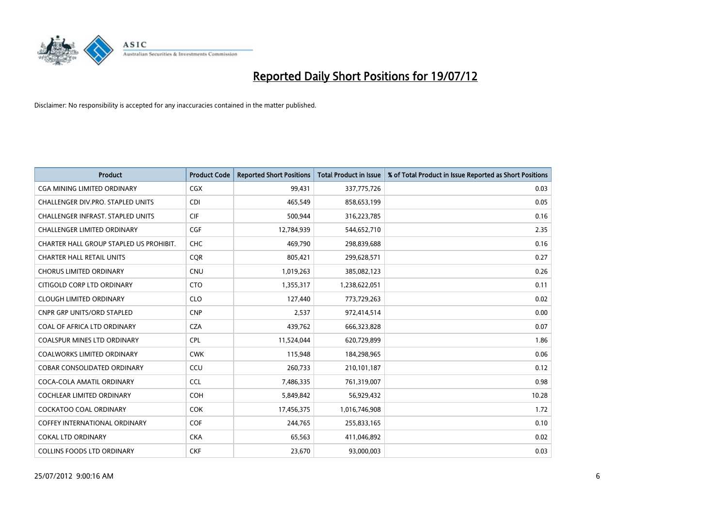

| <b>Product</b>                           | <b>Product Code</b> | <b>Reported Short Positions</b> | Total Product in Issue | % of Total Product in Issue Reported as Short Positions |
|------------------------------------------|---------------------|---------------------------------|------------------------|---------------------------------------------------------|
| CGA MINING LIMITED ORDINARY              | <b>CGX</b>          | 99,431                          | 337,775,726            | 0.03                                                    |
| CHALLENGER DIV.PRO. STAPLED UNITS        | <b>CDI</b>          | 465,549                         | 858,653,199            | 0.05                                                    |
| <b>CHALLENGER INFRAST, STAPLED UNITS</b> | <b>CIF</b>          | 500,944                         | 316,223,785            | 0.16                                                    |
| CHALLENGER LIMITED ORDINARY              | <b>CGF</b>          | 12,784,939                      | 544,652,710            | 2.35                                                    |
| CHARTER HALL GROUP STAPLED US PROHIBIT.  | <b>CHC</b>          | 469.790                         | 298,839,688            | 0.16                                                    |
| <b>CHARTER HALL RETAIL UNITS</b>         | <b>CQR</b>          | 805,421                         | 299,628,571            | 0.27                                                    |
| <b>CHORUS LIMITED ORDINARY</b>           | <b>CNU</b>          | 1,019,263                       | 385,082,123            | 0.26                                                    |
| CITIGOLD CORP LTD ORDINARY               | <b>CTO</b>          | 1,355,317                       | 1,238,622,051          | 0.11                                                    |
| <b>CLOUGH LIMITED ORDINARY</b>           | <b>CLO</b>          | 127,440                         | 773,729,263            | 0.02                                                    |
| <b>CNPR GRP UNITS/ORD STAPLED</b>        | <b>CNP</b>          | 2,537                           | 972,414,514            | 0.00                                                    |
| COAL OF AFRICA LTD ORDINARY              | <b>CZA</b>          | 439,762                         | 666,323,828            | 0.07                                                    |
| <b>COALSPUR MINES LTD ORDINARY</b>       | <b>CPL</b>          | 11,524,044                      | 620,729,899            | 1.86                                                    |
| <b>COALWORKS LIMITED ORDINARY</b>        | <b>CWK</b>          | 115,948                         | 184,298,965            | 0.06                                                    |
| <b>COBAR CONSOLIDATED ORDINARY</b>       | CCU                 | 260,733                         | 210,101,187            | 0.12                                                    |
| COCA-COLA AMATIL ORDINARY                | <b>CCL</b>          | 7,486,335                       | 761,319,007            | 0.98                                                    |
| COCHLEAR LIMITED ORDINARY                | <b>COH</b>          | 5,849,842                       | 56,929,432             | 10.28                                                   |
| <b>COCKATOO COAL ORDINARY</b>            | <b>COK</b>          | 17,456,375                      | 1,016,746,908          | 1.72                                                    |
| COFFEY INTERNATIONAL ORDINARY            | <b>COF</b>          | 244,765                         | 255,833,165            | 0.10                                                    |
| <b>COKAL LTD ORDINARY</b>                | <b>CKA</b>          | 65,563                          | 411,046,892            | 0.02                                                    |
| <b>COLLINS FOODS LTD ORDINARY</b>        | <b>CKF</b>          | 23.670                          | 93,000,003             | 0.03                                                    |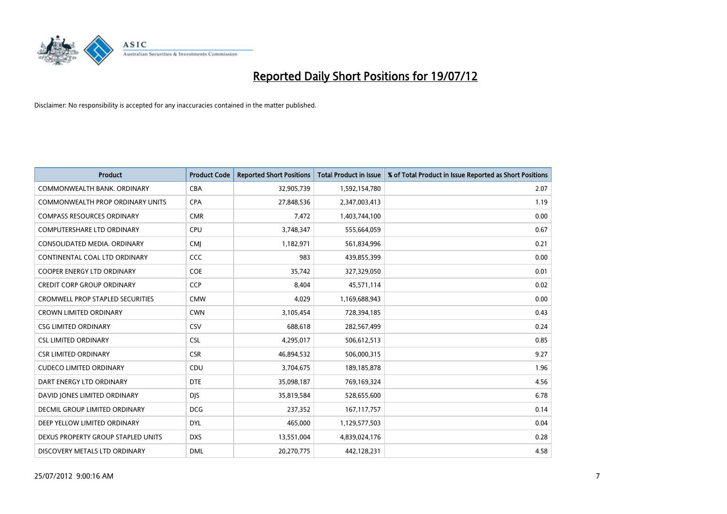

| <b>Product</b>                          | <b>Product Code</b> | <b>Reported Short Positions</b> | <b>Total Product in Issue</b> | % of Total Product in Issue Reported as Short Positions |
|-----------------------------------------|---------------------|---------------------------------|-------------------------------|---------------------------------------------------------|
| COMMONWEALTH BANK, ORDINARY             | <b>CBA</b>          | 32,905,739                      | 1,592,154,780                 | 2.07                                                    |
| <b>COMMONWEALTH PROP ORDINARY UNITS</b> | <b>CPA</b>          | 27,848,536                      | 2,347,003,413                 | 1.19                                                    |
| <b>COMPASS RESOURCES ORDINARY</b>       | <b>CMR</b>          | 7,472                           | 1,403,744,100                 | 0.00                                                    |
| COMPUTERSHARE LTD ORDINARY              | CPU                 | 3,748,347                       | 555,664,059                   | 0.67                                                    |
| CONSOLIDATED MEDIA, ORDINARY            | <b>CMI</b>          | 1,182,971                       | 561,834,996                   | 0.21                                                    |
| CONTINENTAL COAL LTD ORDINARY           | CCC                 | 983                             | 439,855,399                   | 0.00                                                    |
| <b>COOPER ENERGY LTD ORDINARY</b>       | <b>COE</b>          | 35,742                          | 327,329,050                   | 0.01                                                    |
| <b>CREDIT CORP GROUP ORDINARY</b>       | CCP                 | 8,404                           | 45,571,114                    | 0.02                                                    |
| <b>CROMWELL PROP STAPLED SECURITIES</b> | <b>CMW</b>          | 4,029                           | 1,169,688,943                 | 0.00                                                    |
| <b>CROWN LIMITED ORDINARY</b>           | <b>CWN</b>          | 3,105,454                       | 728,394,185                   | 0.43                                                    |
| <b>CSG LIMITED ORDINARY</b>             | CSV                 | 688.618                         | 282,567,499                   | 0.24                                                    |
| <b>CSL LIMITED ORDINARY</b>             | <b>CSL</b>          | 4,295,017                       | 506,612,513                   | 0.85                                                    |
| <b>CSR LIMITED ORDINARY</b>             | <b>CSR</b>          | 46,894,532                      | 506,000,315                   | 9.27                                                    |
| <b>CUDECO LIMITED ORDINARY</b>          | CDU                 | 3,704,675                       | 189, 185, 878                 | 1.96                                                    |
| DART ENERGY LTD ORDINARY                | <b>DTE</b>          | 35,098,187                      | 769,169,324                   | 4.56                                                    |
| DAVID JONES LIMITED ORDINARY            | <b>DJS</b>          | 35,819,584                      | 528,655,600                   | 6.78                                                    |
| <b>DECMIL GROUP LIMITED ORDINARY</b>    | <b>DCG</b>          | 237,352                         | 167, 117, 757                 | 0.14                                                    |
| DEEP YELLOW LIMITED ORDINARY            | <b>DYL</b>          | 465,000                         | 1,129,577,503                 | 0.04                                                    |
| DEXUS PROPERTY GROUP STAPLED UNITS      | <b>DXS</b>          | 13,551,004                      | 4,839,024,176                 | 0.28                                                    |
| DISCOVERY METALS LTD ORDINARY           | <b>DML</b>          | 20,270,775                      | 442,128,231                   | 4.58                                                    |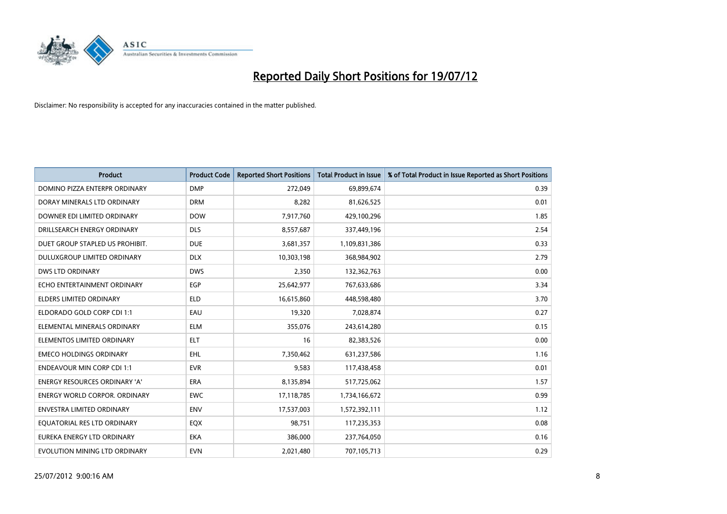

| <b>Product</b>                       | <b>Product Code</b> | <b>Reported Short Positions</b> | <b>Total Product in Issue</b> | % of Total Product in Issue Reported as Short Positions |
|--------------------------------------|---------------------|---------------------------------|-------------------------------|---------------------------------------------------------|
| DOMINO PIZZA ENTERPR ORDINARY        | <b>DMP</b>          | 272,049                         | 69,899,674                    | 0.39                                                    |
| DORAY MINERALS LTD ORDINARY          | <b>DRM</b>          | 8,282                           | 81,626,525                    | 0.01                                                    |
| DOWNER EDI LIMITED ORDINARY          | <b>DOW</b>          | 7,917,760                       | 429,100,296                   | 1.85                                                    |
| DRILLSEARCH ENERGY ORDINARY          | <b>DLS</b>          | 8,557,687                       | 337,449,196                   | 2.54                                                    |
| DUET GROUP STAPLED US PROHIBIT.      | <b>DUE</b>          | 3,681,357                       | 1,109,831,386                 | 0.33                                                    |
| DULUXGROUP LIMITED ORDINARY          | <b>DLX</b>          | 10,303,198                      | 368,984,902                   | 2.79                                                    |
| DWS LTD ORDINARY                     | <b>DWS</b>          | 2,350                           | 132,362,763                   | 0.00                                                    |
| ECHO ENTERTAINMENT ORDINARY          | <b>EGP</b>          | 25,642,977                      | 767,633,686                   | 3.34                                                    |
| <b>ELDERS LIMITED ORDINARY</b>       | <b>ELD</b>          | 16,615,860                      | 448,598,480                   | 3.70                                                    |
| ELDORADO GOLD CORP CDI 1:1           | EAU                 | 19,320                          | 7,028,874                     | 0.27                                                    |
| ELEMENTAL MINERALS ORDINARY          | <b>ELM</b>          | 355,076                         | 243,614,280                   | 0.15                                                    |
| ELEMENTOS LIMITED ORDINARY           | <b>ELT</b>          | 16                              | 82,383,526                    | 0.00                                                    |
| <b>EMECO HOLDINGS ORDINARY</b>       | <b>EHL</b>          | 7,350,462                       | 631,237,586                   | 1.16                                                    |
| <b>ENDEAVOUR MIN CORP CDI 1:1</b>    | <b>EVR</b>          | 9,583                           | 117,438,458                   | 0.01                                                    |
| <b>ENERGY RESOURCES ORDINARY 'A'</b> | <b>ERA</b>          | 8,135,894                       | 517,725,062                   | 1.57                                                    |
| <b>ENERGY WORLD CORPOR. ORDINARY</b> | <b>EWC</b>          | 17,118,785                      | 1,734,166,672                 | 0.99                                                    |
| ENVESTRA LIMITED ORDINARY            | <b>ENV</b>          | 17,537,003                      | 1,572,392,111                 | 1.12                                                    |
| EQUATORIAL RES LTD ORDINARY          | EQX                 | 98,751                          | 117,235,353                   | 0.08                                                    |
| EUREKA ENERGY LTD ORDINARY           | <b>EKA</b>          | 386,000                         | 237,764,050                   | 0.16                                                    |
| EVOLUTION MINING LTD ORDINARY        | <b>EVN</b>          | 2,021,480                       | 707,105,713                   | 0.29                                                    |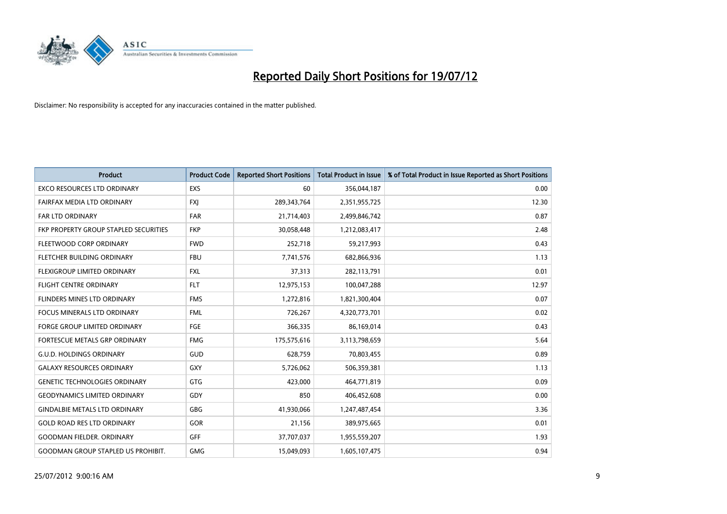

| <b>Product</b>                            | <b>Product Code</b> | <b>Reported Short Positions</b> | <b>Total Product in Issue</b> | % of Total Product in Issue Reported as Short Positions |
|-------------------------------------------|---------------------|---------------------------------|-------------------------------|---------------------------------------------------------|
| <b>EXCO RESOURCES LTD ORDINARY</b>        | <b>EXS</b>          | 60                              | 356,044,187                   | 0.00                                                    |
| FAIRFAX MEDIA LTD ORDINARY                | <b>FXI</b>          | 289,343,764                     | 2,351,955,725                 | 12.30                                                   |
| <b>FAR LTD ORDINARY</b>                   | FAR                 | 21,714,403                      | 2,499,846,742                 | 0.87                                                    |
| FKP PROPERTY GROUP STAPLED SECURITIES     | <b>FKP</b>          | 30,058,448                      | 1,212,083,417                 | 2.48                                                    |
| FLEETWOOD CORP ORDINARY                   | <b>FWD</b>          | 252,718                         | 59,217,993                    | 0.43                                                    |
| FLETCHER BUILDING ORDINARY                | <b>FBU</b>          | 7,741,576                       | 682,866,936                   | 1.13                                                    |
| FLEXIGROUP LIMITED ORDINARY               | <b>FXL</b>          | 37,313                          | 282,113,791                   | 0.01                                                    |
| <b>FLIGHT CENTRE ORDINARY</b>             | <b>FLT</b>          | 12,975,153                      | 100,047,288                   | 12.97                                                   |
| <b>FLINDERS MINES LTD ORDINARY</b>        | <b>FMS</b>          | 1,272,816                       | 1,821,300,404                 | 0.07                                                    |
| <b>FOCUS MINERALS LTD ORDINARY</b>        | <b>FML</b>          | 726,267                         | 4,320,773,701                 | 0.02                                                    |
| <b>FORGE GROUP LIMITED ORDINARY</b>       | FGE                 | 366,335                         | 86,169,014                    | 0.43                                                    |
| <b>FORTESCUE METALS GRP ORDINARY</b>      | <b>FMG</b>          | 175,575,616                     | 3,113,798,659                 | 5.64                                                    |
| <b>G.U.D. HOLDINGS ORDINARY</b>           | GUD                 | 628,759                         | 70,803,455                    | 0.89                                                    |
| <b>GALAXY RESOURCES ORDINARY</b>          | GXY                 | 5,726,062                       | 506,359,381                   | 1.13                                                    |
| <b>GENETIC TECHNOLOGIES ORDINARY</b>      | GTG                 | 423,000                         | 464,771,819                   | 0.09                                                    |
| <b>GEODYNAMICS LIMITED ORDINARY</b>       | GDY                 | 850                             | 406,452,608                   | 0.00                                                    |
| <b>GINDALBIE METALS LTD ORDINARY</b>      | <b>GBG</b>          | 41,930,066                      | 1,247,487,454                 | 3.36                                                    |
| <b>GOLD ROAD RES LTD ORDINARY</b>         | GOR                 | 21,156                          | 389,975,665                   | 0.01                                                    |
| <b>GOODMAN FIELDER, ORDINARY</b>          | <b>GFF</b>          | 37,707,037                      | 1,955,559,207                 | 1.93                                                    |
| <b>GOODMAN GROUP STAPLED US PROHIBIT.</b> | <b>GMG</b>          | 15,049,093                      | 1,605,107,475                 | 0.94                                                    |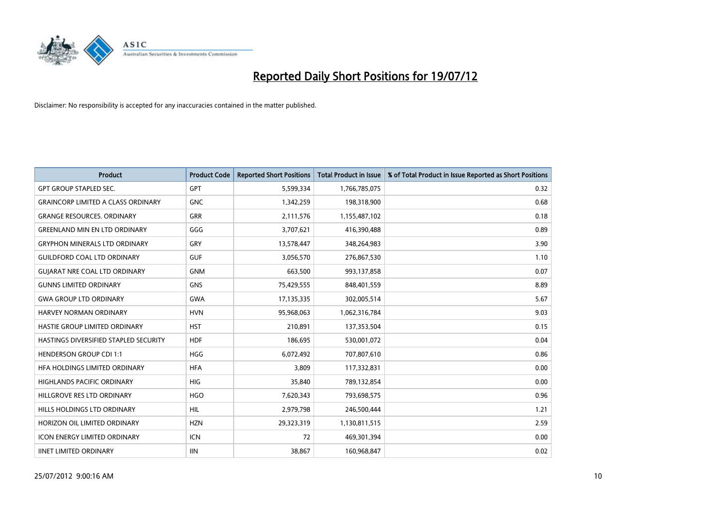

| <b>Product</b>                            | <b>Product Code</b> | <b>Reported Short Positions</b> | <b>Total Product in Issue</b> | % of Total Product in Issue Reported as Short Positions |
|-------------------------------------------|---------------------|---------------------------------|-------------------------------|---------------------------------------------------------|
| <b>GPT GROUP STAPLED SEC.</b>             | <b>GPT</b>          | 5,599,334                       | 1,766,785,075                 | 0.32                                                    |
| <b>GRAINCORP LIMITED A CLASS ORDINARY</b> | <b>GNC</b>          | 1,342,259                       | 198,318,900                   | 0.68                                                    |
| <b>GRANGE RESOURCES, ORDINARY</b>         | <b>GRR</b>          | 2,111,576                       | 1,155,487,102                 | 0.18                                                    |
| GREENLAND MIN EN LTD ORDINARY             | GGG                 | 3,707,621                       | 416,390,488                   | 0.89                                                    |
| <b>GRYPHON MINERALS LTD ORDINARY</b>      | GRY                 | 13,578,447                      | 348,264,983                   | 3.90                                                    |
| <b>GUILDFORD COAL LTD ORDINARY</b>        | <b>GUF</b>          | 3,056,570                       | 276,867,530                   | 1.10                                                    |
| <b>GUIARAT NRE COAL LTD ORDINARY</b>      | <b>GNM</b>          | 663,500                         | 993,137,858                   | 0.07                                                    |
| <b>GUNNS LIMITED ORDINARY</b>             | <b>GNS</b>          | 75,429,555                      | 848,401,559                   | 8.89                                                    |
| <b>GWA GROUP LTD ORDINARY</b>             | <b>GWA</b>          | 17,135,335                      | 302,005,514                   | 5.67                                                    |
| HARVEY NORMAN ORDINARY                    | <b>HVN</b>          | 95,968,063                      | 1,062,316,784                 | 9.03                                                    |
| HASTIE GROUP LIMITED ORDINARY             | <b>HST</b>          | 210,891                         | 137,353,504                   | 0.15                                                    |
| HASTINGS DIVERSIFIED STAPLED SECURITY     | <b>HDF</b>          | 186,695                         | 530,001,072                   | 0.04                                                    |
| <b>HENDERSON GROUP CDI 1:1</b>            | <b>HGG</b>          | 6,072,492                       | 707,807,610                   | 0.86                                                    |
| HFA HOLDINGS LIMITED ORDINARY             | <b>HFA</b>          | 3,809                           | 117,332,831                   | 0.00                                                    |
| <b>HIGHLANDS PACIFIC ORDINARY</b>         | <b>HIG</b>          | 35,840                          | 789,132,854                   | 0.00                                                    |
| HILLGROVE RES LTD ORDINARY                | <b>HGO</b>          | 7,620,343                       | 793,698,575                   | 0.96                                                    |
| HILLS HOLDINGS LTD ORDINARY               | <b>HIL</b>          | 2,979,798                       | 246,500,444                   | 1.21                                                    |
| HORIZON OIL LIMITED ORDINARY              | <b>HZN</b>          | 29,323,319                      | 1,130,811,515                 | 2.59                                                    |
| <b>ICON ENERGY LIMITED ORDINARY</b>       | <b>ICN</b>          | 72                              | 469,301,394                   | 0.00                                                    |
| <b>IINET LIMITED ORDINARY</b>             | <b>IIN</b>          | 38,867                          | 160,968,847                   | 0.02                                                    |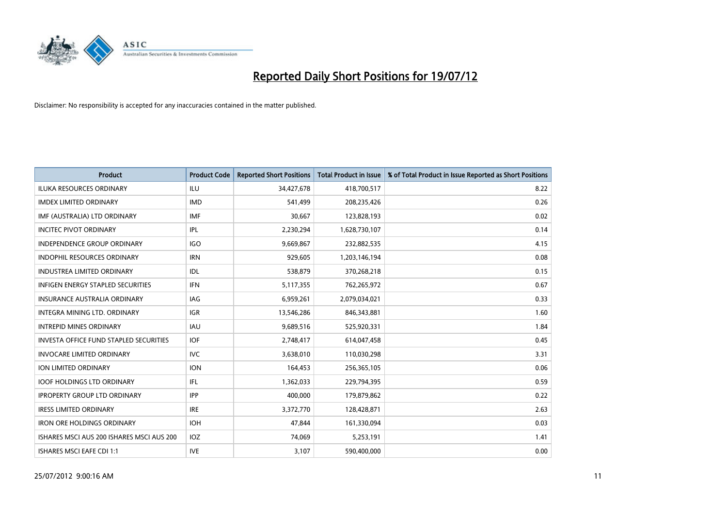

| <b>Product</b>                                | <b>Product Code</b> | <b>Reported Short Positions</b> | <b>Total Product in Issue</b> | % of Total Product in Issue Reported as Short Positions |
|-----------------------------------------------|---------------------|---------------------------------|-------------------------------|---------------------------------------------------------|
| <b>ILUKA RESOURCES ORDINARY</b>               | ILU                 | 34,427,678                      | 418,700,517                   | 8.22                                                    |
| <b>IMDEX LIMITED ORDINARY</b>                 | <b>IMD</b>          | 541,499                         | 208,235,426                   | 0.26                                                    |
| IMF (AUSTRALIA) LTD ORDINARY                  | <b>IMF</b>          | 30,667                          | 123,828,193                   | 0.02                                                    |
| <b>INCITEC PIVOT ORDINARY</b>                 | IPL                 | 2,230,294                       | 1,628,730,107                 | 0.14                                                    |
| <b>INDEPENDENCE GROUP ORDINARY</b>            | <b>IGO</b>          | 9,669,867                       | 232,882,535                   | 4.15                                                    |
| <b>INDOPHIL RESOURCES ORDINARY</b>            | <b>IRN</b>          | 929,605                         | 1,203,146,194                 | 0.08                                                    |
| <b>INDUSTREA LIMITED ORDINARY</b>             | IDL                 | 538,879                         | 370,268,218                   | 0.15                                                    |
| INFIGEN ENERGY STAPLED SECURITIES             | <b>IFN</b>          | 5,117,355                       | 762,265,972                   | 0.67                                                    |
| INSURANCE AUSTRALIA ORDINARY                  | IAG                 | 6,959,261                       | 2,079,034,021                 | 0.33                                                    |
| INTEGRA MINING LTD, ORDINARY                  | <b>IGR</b>          | 13,546,286                      | 846,343,881                   | 1.60                                                    |
| <b>INTREPID MINES ORDINARY</b>                | <b>IAU</b>          | 9,689,516                       | 525,920,331                   | 1.84                                                    |
| <b>INVESTA OFFICE FUND STAPLED SECURITIES</b> | <b>IOF</b>          | 2,748,417                       | 614,047,458                   | 0.45                                                    |
| <b>INVOCARE LIMITED ORDINARY</b>              | <b>IVC</b>          | 3,638,010                       | 110,030,298                   | 3.31                                                    |
| <b>ION LIMITED ORDINARY</b>                   | <b>ION</b>          | 164,453                         | 256,365,105                   | 0.06                                                    |
| <b>IOOF HOLDINGS LTD ORDINARY</b>             | IFL.                | 1,362,033                       | 229,794,395                   | 0.59                                                    |
| <b>IPROPERTY GROUP LTD ORDINARY</b>           | <b>IPP</b>          | 400.000                         | 179,879,862                   | 0.22                                                    |
| <b>IRESS LIMITED ORDINARY</b>                 | <b>IRE</b>          | 3,372,770                       | 128,428,871                   | 2.63                                                    |
| <b>IRON ORE HOLDINGS ORDINARY</b>             | <b>IOH</b>          | 47,844                          | 161,330,094                   | 0.03                                                    |
| ISHARES MSCI AUS 200 ISHARES MSCI AUS 200     | <b>IOZ</b>          | 74,069                          | 5,253,191                     | 1.41                                                    |
| ISHARES MSCI EAFE CDI 1:1                     | <b>IVE</b>          | 3,107                           | 590,400,000                   | 0.00                                                    |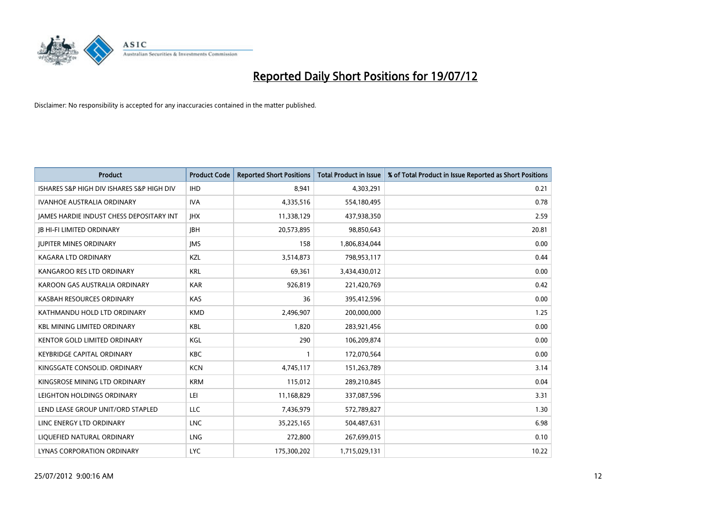

| <b>Product</b>                            | <b>Product Code</b> | <b>Reported Short Positions</b> | <b>Total Product in Issue</b> | % of Total Product in Issue Reported as Short Positions |
|-------------------------------------------|---------------------|---------------------------------|-------------------------------|---------------------------------------------------------|
| ISHARES S&P HIGH DIV ISHARES S&P HIGH DIV | <b>IHD</b>          | 8,941                           | 4,303,291                     | 0.21                                                    |
| <b>IVANHOE AUSTRALIA ORDINARY</b>         | <b>IVA</b>          | 4,335,516                       | 554,180,495                   | 0.78                                                    |
| JAMES HARDIE INDUST CHESS DEPOSITARY INT  | <b>IHX</b>          | 11,338,129                      | 437,938,350                   | 2.59                                                    |
| <b>IB HI-FI LIMITED ORDINARY</b>          | <b>IBH</b>          | 20,573,895                      | 98,850,643                    | 20.81                                                   |
| <b>IUPITER MINES ORDINARY</b>             | <b>IMS</b>          | 158                             | 1,806,834,044                 | 0.00                                                    |
| KAGARA LTD ORDINARY                       | KZL                 | 3,514,873                       | 798,953,117                   | 0.44                                                    |
| KANGAROO RES LTD ORDINARY                 | <b>KRL</b>          | 69,361                          | 3,434,430,012                 | 0.00                                                    |
| KAROON GAS AUSTRALIA ORDINARY             | <b>KAR</b>          | 926,819                         | 221,420,769                   | 0.42                                                    |
| KASBAH RESOURCES ORDINARY                 | KAS                 | 36                              | 395,412,596                   | 0.00                                                    |
| KATHMANDU HOLD LTD ORDINARY               | <b>KMD</b>          | 2,496,907                       | 200,000,000                   | 1.25                                                    |
| <b>KBL MINING LIMITED ORDINARY</b>        | <b>KBL</b>          | 1,820                           | 283,921,456                   | 0.00                                                    |
| <b>KENTOR GOLD LIMITED ORDINARY</b>       | KGL                 | 290                             | 106,209,874                   | 0.00                                                    |
| <b>KEYBRIDGE CAPITAL ORDINARY</b>         | <b>KBC</b>          |                                 | 172,070,564                   | 0.00                                                    |
| KINGSGATE CONSOLID. ORDINARY              | <b>KCN</b>          | 4,745,117                       | 151,263,789                   | 3.14                                                    |
| KINGSROSE MINING LTD ORDINARY             | <b>KRM</b>          | 115,012                         | 289,210,845                   | 0.04                                                    |
| LEIGHTON HOLDINGS ORDINARY                | LEI                 | 11,168,829                      | 337,087,596                   | 3.31                                                    |
| LEND LEASE GROUP UNIT/ORD STAPLED         | LLC                 | 7,436,979                       | 572,789,827                   | 1.30                                                    |
| LINC ENERGY LTD ORDINARY                  | <b>LNC</b>          | 35,225,165                      | 504,487,631                   | 6.98                                                    |
| LIOUEFIED NATURAL ORDINARY                | <b>LNG</b>          | 272,800                         | 267,699,015                   | 0.10                                                    |
| LYNAS CORPORATION ORDINARY                | <b>LYC</b>          | 175,300,202                     | 1,715,029,131                 | 10.22                                                   |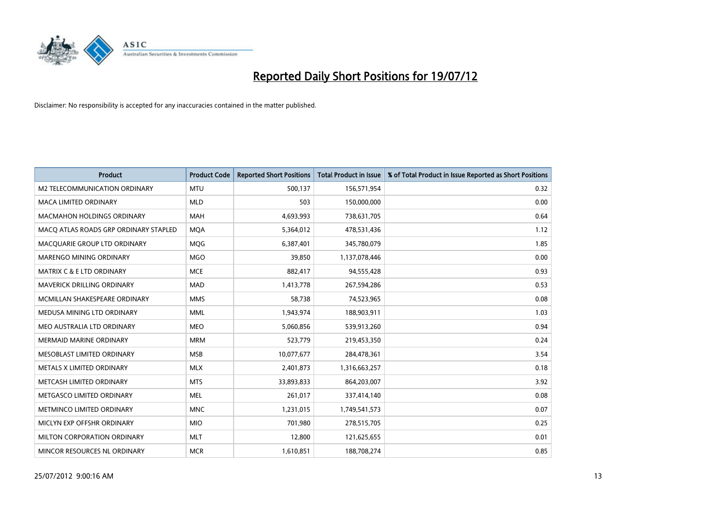

| <b>Product</b>                        | <b>Product Code</b> | <b>Reported Short Positions</b> | <b>Total Product in Issue</b> | % of Total Product in Issue Reported as Short Positions |
|---------------------------------------|---------------------|---------------------------------|-------------------------------|---------------------------------------------------------|
| M2 TELECOMMUNICATION ORDINARY         | <b>MTU</b>          | 500,137                         | 156,571,954                   | 0.32                                                    |
| MACA LIMITED ORDINARY                 | <b>MLD</b>          | 503                             | 150,000,000                   | 0.00                                                    |
| <b>MACMAHON HOLDINGS ORDINARY</b>     | <b>MAH</b>          | 4,693,993                       | 738,631,705                   | 0.64                                                    |
| MACQ ATLAS ROADS GRP ORDINARY STAPLED | <b>MQA</b>          | 5,364,012                       | 478,531,436                   | 1.12                                                    |
| MACQUARIE GROUP LTD ORDINARY          | <b>MOG</b>          | 6,387,401                       | 345,780,079                   | 1.85                                                    |
| MARENGO MINING ORDINARY               | <b>MGO</b>          | 39,850                          | 1,137,078,446                 | 0.00                                                    |
| <b>MATRIX C &amp; E LTD ORDINARY</b>  | <b>MCE</b>          | 882,417                         | 94,555,428                    | 0.93                                                    |
| MAVERICK DRILLING ORDINARY            | <b>MAD</b>          | 1,413,778                       | 267,594,286                   | 0.53                                                    |
| MCMILLAN SHAKESPEARE ORDINARY         | <b>MMS</b>          | 58,738                          | 74,523,965                    | 0.08                                                    |
| MEDUSA MINING LTD ORDINARY            | <b>MML</b>          | 1,943,974                       | 188,903,911                   | 1.03                                                    |
| MEO AUSTRALIA LTD ORDINARY            | <b>MEO</b>          | 5,060,856                       | 539,913,260                   | 0.94                                                    |
| <b>MERMAID MARINE ORDINARY</b>        | <b>MRM</b>          | 523,779                         | 219,453,350                   | 0.24                                                    |
| MESOBLAST LIMITED ORDINARY            | <b>MSB</b>          | 10,077,677                      | 284,478,361                   | 3.54                                                    |
| METALS X LIMITED ORDINARY             | <b>MLX</b>          | 2,401,873                       | 1,316,663,257                 | 0.18                                                    |
| METCASH LIMITED ORDINARY              | <b>MTS</b>          | 33,893,833                      | 864,203,007                   | 3.92                                                    |
| METGASCO LIMITED ORDINARY             | <b>MEL</b>          | 261,017                         | 337,414,140                   | 0.08                                                    |
| METMINCO LIMITED ORDINARY             | <b>MNC</b>          | 1,231,015                       | 1,749,541,573                 | 0.07                                                    |
| MICLYN EXP OFFSHR ORDINARY            | <b>MIO</b>          | 701,980                         | 278,515,705                   | 0.25                                                    |
| MILTON CORPORATION ORDINARY           | <b>MLT</b>          | 12,800                          | 121,625,655                   | 0.01                                                    |
| MINCOR RESOURCES NL ORDINARY          | <b>MCR</b>          | 1,610,851                       | 188,708,274                   | 0.85                                                    |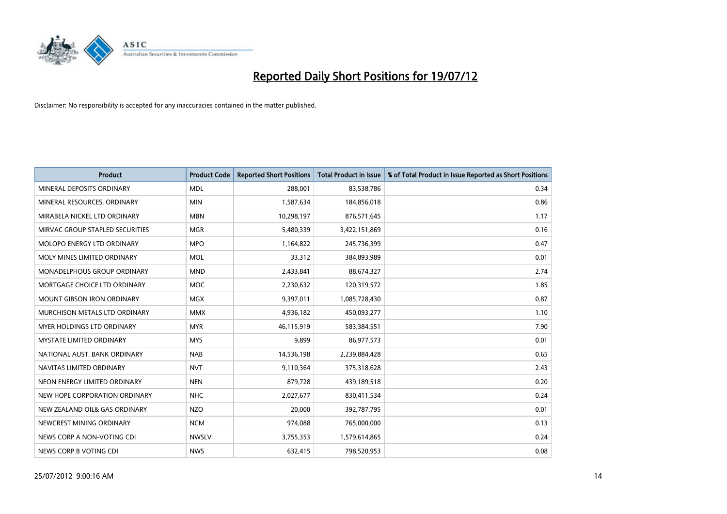

| <b>Product</b>                       | <b>Product Code</b> | <b>Reported Short Positions</b> | <b>Total Product in Issue</b> | % of Total Product in Issue Reported as Short Positions |
|--------------------------------------|---------------------|---------------------------------|-------------------------------|---------------------------------------------------------|
| MINERAL DEPOSITS ORDINARY            | <b>MDL</b>          | 288,001                         | 83,538,786                    | 0.34                                                    |
| MINERAL RESOURCES, ORDINARY          | <b>MIN</b>          | 1,587,634                       | 184,856,018                   | 0.86                                                    |
| MIRABELA NICKEL LTD ORDINARY         | <b>MBN</b>          | 10,298,197                      | 876,571,645                   | 1.17                                                    |
| MIRVAC GROUP STAPLED SECURITIES      | <b>MGR</b>          | 5,480,339                       | 3,422,151,869                 | 0.16                                                    |
| MOLOPO ENERGY LTD ORDINARY           | <b>MPO</b>          | 1,164,822                       | 245,736,399                   | 0.47                                                    |
| MOLY MINES LIMITED ORDINARY          | <b>MOL</b>          | 33,312                          | 384,893,989                   | 0.01                                                    |
| MONADELPHOUS GROUP ORDINARY          | <b>MND</b>          | 2,433,841                       | 88,674,327                    | 2.74                                                    |
| MORTGAGE CHOICE LTD ORDINARY         | <b>MOC</b>          | 2,230,632                       | 120,319,572                   | 1.85                                                    |
| <b>MOUNT GIBSON IRON ORDINARY</b>    | <b>MGX</b>          | 9,397,011                       | 1,085,728,430                 | 0.87                                                    |
| <b>MURCHISON METALS LTD ORDINARY</b> | <b>MMX</b>          | 4,936,182                       | 450,093,277                   | 1.10                                                    |
| <b>MYER HOLDINGS LTD ORDINARY</b>    | <b>MYR</b>          | 46,115,919                      | 583,384,551                   | 7.90                                                    |
| <b>MYSTATE LIMITED ORDINARY</b>      | <b>MYS</b>          | 9,899                           | 86,977,573                    | 0.01                                                    |
| NATIONAL AUST, BANK ORDINARY         | <b>NAB</b>          | 14,536,198                      | 2,239,884,428                 | 0.65                                                    |
| NAVITAS LIMITED ORDINARY             | <b>NVT</b>          | 9,110,364                       | 375,318,628                   | 2.43                                                    |
| NEON ENERGY LIMITED ORDINARY         | <b>NEN</b>          | 879,728                         | 439,189,518                   | 0.20                                                    |
| NEW HOPE CORPORATION ORDINARY        | <b>NHC</b>          | 2,027,677                       | 830,411,534                   | 0.24                                                    |
| NEW ZEALAND OIL& GAS ORDINARY        | <b>NZO</b>          | 20,000                          | 392,787,795                   | 0.01                                                    |
| NEWCREST MINING ORDINARY             | <b>NCM</b>          | 974,088                         | 765,000,000                   | 0.13                                                    |
| NEWS CORP A NON-VOTING CDI           | <b>NWSLV</b>        | 3,755,353                       | 1,579,614,865                 | 0.24                                                    |
| NEWS CORP B VOTING CDI               | <b>NWS</b>          | 632,415                         | 798,520,953                   | 0.08                                                    |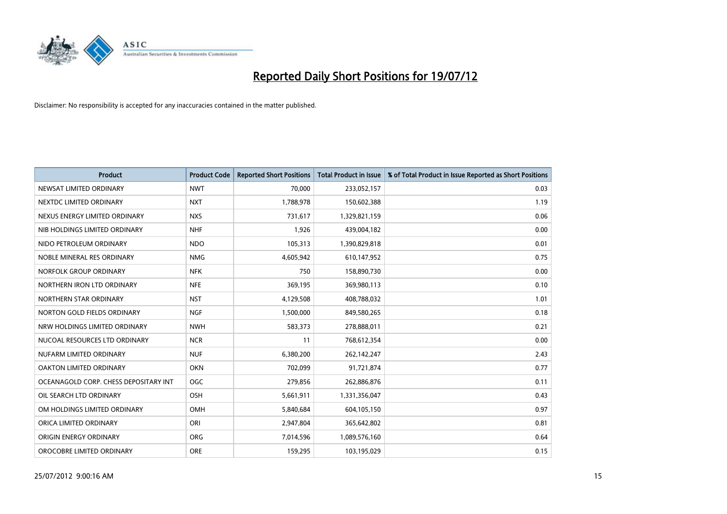

| <b>Product</b>                        | <b>Product Code</b> | <b>Reported Short Positions</b> | <b>Total Product in Issue</b> | % of Total Product in Issue Reported as Short Positions |
|---------------------------------------|---------------------|---------------------------------|-------------------------------|---------------------------------------------------------|
| NEWSAT LIMITED ORDINARY               | <b>NWT</b>          | 70.000                          | 233,052,157                   | 0.03                                                    |
| NEXTDC LIMITED ORDINARY               | <b>NXT</b>          | 1,788,978                       | 150,602,388                   | 1.19                                                    |
| NEXUS ENERGY LIMITED ORDINARY         | <b>NXS</b>          | 731,617                         | 1,329,821,159                 | 0.06                                                    |
| NIB HOLDINGS LIMITED ORDINARY         | <b>NHF</b>          | 1,926                           | 439,004,182                   | 0.00                                                    |
| NIDO PETROLEUM ORDINARY               | <b>NDO</b>          | 105,313                         | 1,390,829,818                 | 0.01                                                    |
| NOBLE MINERAL RES ORDINARY            | <b>NMG</b>          | 4,605,942                       | 610,147,952                   | 0.75                                                    |
| NORFOLK GROUP ORDINARY                | <b>NFK</b>          | 750                             | 158,890,730                   | 0.00                                                    |
| NORTHERN IRON LTD ORDINARY            | <b>NFE</b>          | 369,195                         | 369,980,113                   | 0.10                                                    |
| NORTHERN STAR ORDINARY                | <b>NST</b>          | 4,129,508                       | 408,788,032                   | 1.01                                                    |
| NORTON GOLD FIELDS ORDINARY           | <b>NGF</b>          | 1,500,000                       | 849,580,265                   | 0.18                                                    |
| NRW HOLDINGS LIMITED ORDINARY         | <b>NWH</b>          | 583,373                         | 278,888,011                   | 0.21                                                    |
| NUCOAL RESOURCES LTD ORDINARY         | <b>NCR</b>          | 11                              | 768,612,354                   | 0.00                                                    |
| NUFARM LIMITED ORDINARY               | <b>NUF</b>          | 6,380,200                       | 262,142,247                   | 2.43                                                    |
| OAKTON LIMITED ORDINARY               | <b>OKN</b>          | 702,099                         | 91,721,874                    | 0.77                                                    |
| OCEANAGOLD CORP. CHESS DEPOSITARY INT | <b>OGC</b>          | 279,856                         | 262,886,876                   | 0.11                                                    |
| OIL SEARCH LTD ORDINARY               | OSH                 | 5,661,911                       | 1,331,356,047                 | 0.43                                                    |
| OM HOLDINGS LIMITED ORDINARY          | OMH                 | 5,840,684                       | 604,105,150                   | 0.97                                                    |
| ORICA LIMITED ORDINARY                | ORI                 | 2,947,804                       | 365,642,802                   | 0.81                                                    |
| ORIGIN ENERGY ORDINARY                | <b>ORG</b>          | 7,014,596                       | 1,089,576,160                 | 0.64                                                    |
| OROCOBRE LIMITED ORDINARY             | <b>ORE</b>          | 159,295                         | 103,195,029                   | 0.15                                                    |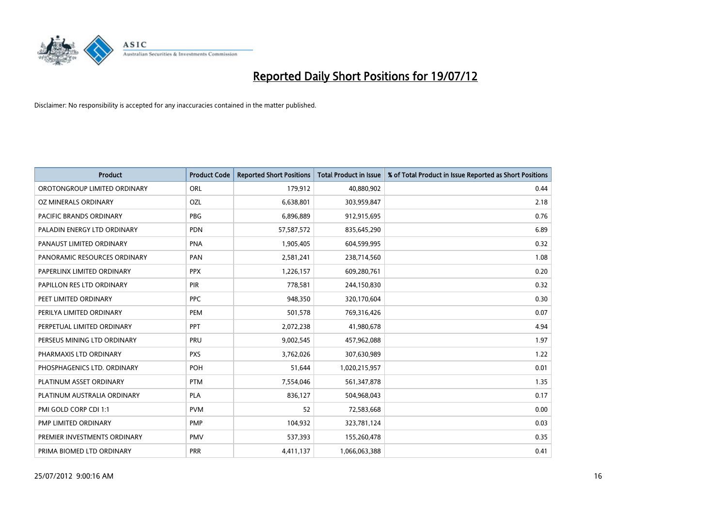

| <b>Product</b>               | <b>Product Code</b> | <b>Reported Short Positions</b> | <b>Total Product in Issue</b> | % of Total Product in Issue Reported as Short Positions |
|------------------------------|---------------------|---------------------------------|-------------------------------|---------------------------------------------------------|
| OROTONGROUP LIMITED ORDINARY | ORL                 | 179,912                         | 40,880,902                    | 0.44                                                    |
| OZ MINERALS ORDINARY         | OZL                 | 6,638,801                       | 303,959,847                   | 2.18                                                    |
| PACIFIC BRANDS ORDINARY      | <b>PBG</b>          | 6,896,889                       | 912,915,695                   | 0.76                                                    |
| PALADIN ENERGY LTD ORDINARY  | <b>PDN</b>          | 57,587,572                      | 835,645,290                   | 6.89                                                    |
| PANAUST LIMITED ORDINARY     | <b>PNA</b>          | 1,905,405                       | 604,599,995                   | 0.32                                                    |
| PANORAMIC RESOURCES ORDINARY | PAN                 | 2,581,241                       | 238,714,560                   | 1.08                                                    |
| PAPERLINX LIMITED ORDINARY   | <b>PPX</b>          | 1,226,157                       | 609,280,761                   | 0.20                                                    |
| PAPILLON RES LTD ORDINARY    | PIR                 | 778,581                         | 244,150,830                   | 0.32                                                    |
| PEET LIMITED ORDINARY        | <b>PPC</b>          | 948,350                         | 320,170,604                   | 0.30                                                    |
| PERILYA LIMITED ORDINARY     | PEM                 | 501,578                         | 769,316,426                   | 0.07                                                    |
| PERPETUAL LIMITED ORDINARY   | <b>PPT</b>          | 2,072,238                       | 41,980,678                    | 4.94                                                    |
| PERSEUS MINING LTD ORDINARY  | PRU                 | 9,002,545                       | 457,962,088                   | 1.97                                                    |
| PHARMAXIS LTD ORDINARY       | <b>PXS</b>          | 3,762,026                       | 307,630,989                   | 1.22                                                    |
| PHOSPHAGENICS LTD. ORDINARY  | POH                 | 51,644                          | 1,020,215,957                 | 0.01                                                    |
| PLATINUM ASSET ORDINARY      | <b>PTM</b>          | 7,554,046                       | 561,347,878                   | 1.35                                                    |
| PLATINUM AUSTRALIA ORDINARY  | <b>PLA</b>          | 836,127                         | 504,968,043                   | 0.17                                                    |
| PMI GOLD CORP CDI 1:1        | <b>PVM</b>          | 52                              | 72,583,668                    | 0.00                                                    |
| PMP LIMITED ORDINARY         | <b>PMP</b>          | 104,932                         | 323,781,124                   | 0.03                                                    |
| PREMIER INVESTMENTS ORDINARY | <b>PMV</b>          | 537,393                         | 155,260,478                   | 0.35                                                    |
| PRIMA BIOMED LTD ORDINARY    | <b>PRR</b>          | 4,411,137                       | 1,066,063,388                 | 0.41                                                    |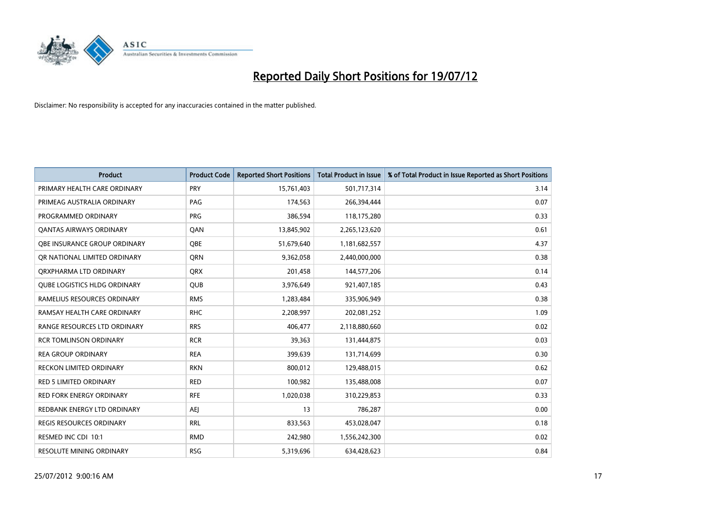

| <b>Product</b>                      | <b>Product Code</b> | <b>Reported Short Positions</b> | <b>Total Product in Issue</b> | % of Total Product in Issue Reported as Short Positions |
|-------------------------------------|---------------------|---------------------------------|-------------------------------|---------------------------------------------------------|
| PRIMARY HEALTH CARE ORDINARY        | PRY                 | 15,761,403                      | 501,717,314                   | 3.14                                                    |
| PRIMEAG AUSTRALIA ORDINARY          | PAG                 | 174,563                         | 266,394,444                   | 0.07                                                    |
| PROGRAMMED ORDINARY                 | <b>PRG</b>          | 386,594                         | 118,175,280                   | 0.33                                                    |
| <b>QANTAS AIRWAYS ORDINARY</b>      | QAN                 | 13,845,902                      | 2,265,123,620                 | 0.61                                                    |
| OBE INSURANCE GROUP ORDINARY        | <b>OBE</b>          | 51,679,640                      | 1,181,682,557                 | 4.37                                                    |
| OR NATIONAL LIMITED ORDINARY        | <b>ORN</b>          | 9,362,058                       | 2,440,000,000                 | 0.38                                                    |
| ORXPHARMA LTD ORDINARY              | <b>QRX</b>          | 201.458                         | 144,577,206                   | 0.14                                                    |
| <b>QUBE LOGISTICS HLDG ORDINARY</b> | <b>QUB</b>          | 3,976,649                       | 921,407,185                   | 0.43                                                    |
| RAMELIUS RESOURCES ORDINARY         | <b>RMS</b>          | 1,283,484                       | 335,906,949                   | 0.38                                                    |
| RAMSAY HEALTH CARE ORDINARY         | <b>RHC</b>          | 2,208,997                       | 202,081,252                   | 1.09                                                    |
| RANGE RESOURCES LTD ORDINARY        | <b>RRS</b>          | 406,477                         | 2,118,880,660                 | 0.02                                                    |
| <b>RCR TOMLINSON ORDINARY</b>       | <b>RCR</b>          | 39,363                          | 131,444,875                   | 0.03                                                    |
| <b>REA GROUP ORDINARY</b>           | <b>REA</b>          | 399,639                         | 131,714,699                   | 0.30                                                    |
| <b>RECKON LIMITED ORDINARY</b>      | <b>RKN</b>          | 800,012                         | 129,488,015                   | 0.62                                                    |
| <b>RED 5 LIMITED ORDINARY</b>       | <b>RED</b>          | 100,982                         | 135,488,008                   | 0.07                                                    |
| RED FORK ENERGY ORDINARY            | <b>RFE</b>          | 1,020,038                       | 310,229,853                   | 0.33                                                    |
| REDBANK ENERGY LTD ORDINARY         | <b>AEI</b>          | 13                              | 786,287                       | 0.00                                                    |
| REGIS RESOURCES ORDINARY            | <b>RRL</b>          | 833,563                         | 453,028,047                   | 0.18                                                    |
| RESMED INC CDI 10:1                 | <b>RMD</b>          | 242,980                         | 1,556,242,300                 | 0.02                                                    |
| <b>RESOLUTE MINING ORDINARY</b>     | <b>RSG</b>          | 5,319,696                       | 634,428,623                   | 0.84                                                    |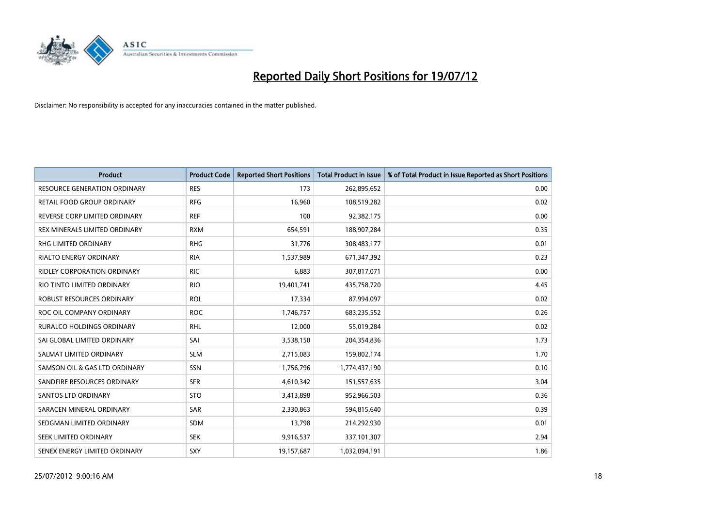

| <b>Product</b>                      | <b>Product Code</b> | <b>Reported Short Positions</b> | <b>Total Product in Issue</b> | % of Total Product in Issue Reported as Short Positions |
|-------------------------------------|---------------------|---------------------------------|-------------------------------|---------------------------------------------------------|
| <b>RESOURCE GENERATION ORDINARY</b> | <b>RES</b>          | 173                             | 262,895,652                   | 0.00                                                    |
| RETAIL FOOD GROUP ORDINARY          | <b>RFG</b>          | 16,960                          | 108,519,282                   | 0.02                                                    |
| REVERSE CORP LIMITED ORDINARY       | <b>REF</b>          | 100                             | 92,382,175                    | 0.00                                                    |
| REX MINERALS LIMITED ORDINARY       | <b>RXM</b>          | 654,591                         | 188,907,284                   | 0.35                                                    |
| <b>RHG LIMITED ORDINARY</b>         | <b>RHG</b>          | 31,776                          | 308,483,177                   | 0.01                                                    |
| <b>RIALTO ENERGY ORDINARY</b>       | <b>RIA</b>          | 1,537,989                       | 671,347,392                   | 0.23                                                    |
| <b>RIDLEY CORPORATION ORDINARY</b>  | <b>RIC</b>          | 6,883                           | 307,817,071                   | 0.00                                                    |
| RIO TINTO LIMITED ORDINARY          | <b>RIO</b>          | 19,401,741                      | 435,758,720                   | 4.45                                                    |
| ROBUST RESOURCES ORDINARY           | <b>ROL</b>          | 17,334                          | 87,994,097                    | 0.02                                                    |
| ROC OIL COMPANY ORDINARY            | <b>ROC</b>          | 1,746,757                       | 683,235,552                   | 0.26                                                    |
| RURALCO HOLDINGS ORDINARY           | <b>RHL</b>          | 12,000                          | 55,019,284                    | 0.02                                                    |
| SAI GLOBAL LIMITED ORDINARY         | SAI                 | 3,538,150                       | 204,354,836                   | 1.73                                                    |
| SALMAT LIMITED ORDINARY             | <b>SLM</b>          | 2,715,083                       | 159,802,174                   | 1.70                                                    |
| SAMSON OIL & GAS LTD ORDINARY       | SSN                 | 1,756,796                       | 1,774,437,190                 | 0.10                                                    |
| SANDFIRE RESOURCES ORDINARY         | <b>SFR</b>          | 4,610,342                       | 151,557,635                   | 3.04                                                    |
| <b>SANTOS LTD ORDINARY</b>          | <b>STO</b>          | 3,413,898                       | 952,966,503                   | 0.36                                                    |
| SARACEN MINERAL ORDINARY            | SAR                 | 2,330,863                       | 594,815,640                   | 0.39                                                    |
| SEDGMAN LIMITED ORDINARY            | <b>SDM</b>          | 13,798                          | 214,292,930                   | 0.01                                                    |
| SEEK LIMITED ORDINARY               | <b>SEK</b>          | 9,916,537                       | 337,101,307                   | 2.94                                                    |
| SENEX ENERGY LIMITED ORDINARY       | SXY                 | 19,157,687                      | 1,032,094,191                 | 1.86                                                    |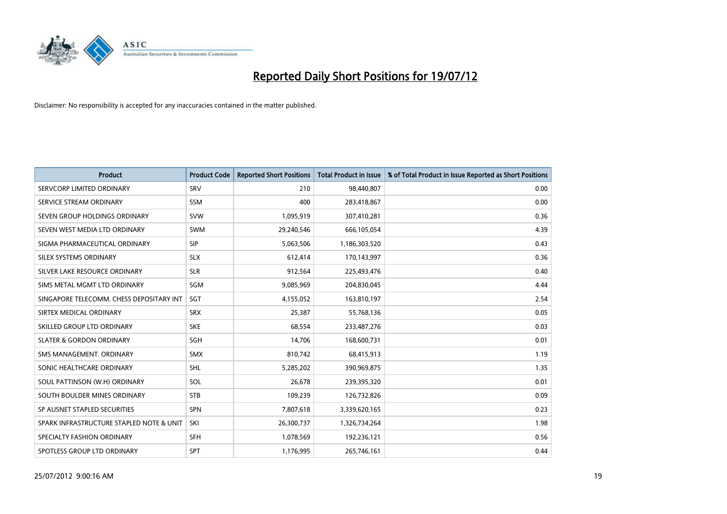

| <b>Product</b>                           | <b>Product Code</b> | <b>Reported Short Positions</b> | <b>Total Product in Issue</b> | % of Total Product in Issue Reported as Short Positions |
|------------------------------------------|---------------------|---------------------------------|-------------------------------|---------------------------------------------------------|
| SERVCORP LIMITED ORDINARY                | SRV                 | 210                             | 98,440,807                    | 0.00                                                    |
| SERVICE STREAM ORDINARY                  | <b>SSM</b>          | 400                             | 283,418,867                   | 0.00                                                    |
| SEVEN GROUP HOLDINGS ORDINARY            | <b>SVW</b>          | 1,095,919                       | 307,410,281                   | 0.36                                                    |
| SEVEN WEST MEDIA LTD ORDINARY            | <b>SWM</b>          | 29,240,546                      | 666,105,054                   | 4.39                                                    |
| SIGMA PHARMACEUTICAL ORDINARY            | <b>SIP</b>          | 5,063,506                       | 1,186,303,520                 | 0.43                                                    |
| SILEX SYSTEMS ORDINARY                   | <b>SLX</b>          | 612,414                         | 170,143,997                   | 0.36                                                    |
| SILVER LAKE RESOURCE ORDINARY            | <b>SLR</b>          | 912,564                         | 225,493,476                   | 0.40                                                    |
| SIMS METAL MGMT LTD ORDINARY             | SGM                 | 9,085,969                       | 204,830,045                   | 4.44                                                    |
| SINGAPORE TELECOMM. CHESS DEPOSITARY INT | SGT                 | 4,155,052                       | 163,810,197                   | 2.54                                                    |
| SIRTEX MEDICAL ORDINARY                  | <b>SRX</b>          | 25,387                          | 55,768,136                    | 0.05                                                    |
| SKILLED GROUP LTD ORDINARY               | <b>SKE</b>          | 68,554                          | 233,487,276                   | 0.03                                                    |
| <b>SLATER &amp; GORDON ORDINARY</b>      | SGH                 | 14,706                          | 168,600,731                   | 0.01                                                    |
| SMS MANAGEMENT, ORDINARY                 | <b>SMX</b>          | 810,742                         | 68,415,913                    | 1.19                                                    |
| SONIC HEALTHCARE ORDINARY                | <b>SHL</b>          | 5,285,202                       | 390,969,875                   | 1.35                                                    |
| SOUL PATTINSON (W.H) ORDINARY            | SOL                 | 26.678                          | 239,395,320                   | 0.01                                                    |
| SOUTH BOULDER MINES ORDINARY             | <b>STB</b>          | 109,239                         | 126,732,826                   | 0.09                                                    |
| SP AUSNET STAPLED SECURITIES             | SPN                 | 7,807,618                       | 3,339,620,165                 | 0.23                                                    |
| SPARK INFRASTRUCTURE STAPLED NOTE & UNIT | SKI                 | 26,300,737                      | 1,326,734,264                 | 1.98                                                    |
| SPECIALTY FASHION ORDINARY               | <b>SFH</b>          | 1,078,569                       | 192,236,121                   | 0.56                                                    |
| SPOTLESS GROUP LTD ORDINARY              | <b>SPT</b>          | 1,176,995                       | 265,746,161                   | 0.44                                                    |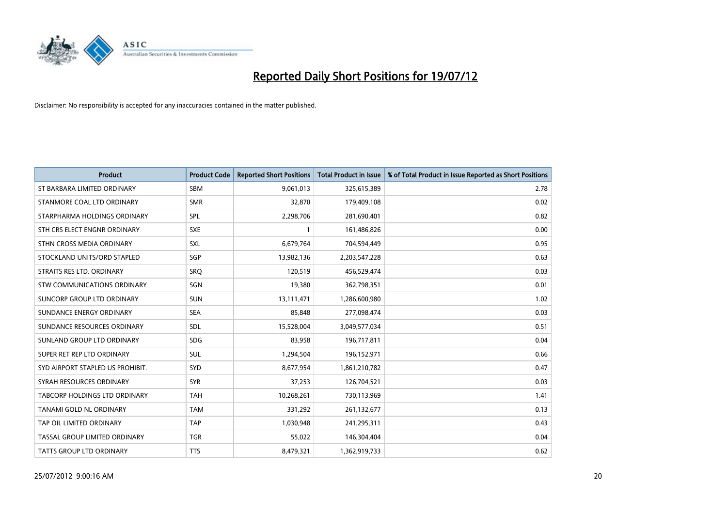

| <b>Product</b>                   | <b>Product Code</b> | <b>Reported Short Positions</b> | <b>Total Product in Issue</b> | % of Total Product in Issue Reported as Short Positions |
|----------------------------------|---------------------|---------------------------------|-------------------------------|---------------------------------------------------------|
| ST BARBARA LIMITED ORDINARY      | SBM                 | 9,061,013                       | 325,615,389                   | 2.78                                                    |
| STANMORE COAL LTD ORDINARY       | <b>SMR</b>          | 32,870                          | 179,409,108                   | 0.02                                                    |
| STARPHARMA HOLDINGS ORDINARY     | SPL                 | 2,298,706                       | 281,690,401                   | 0.82                                                    |
| STH CRS ELECT ENGNR ORDINARY     | <b>SXE</b>          |                                 | 161,486,826                   | 0.00                                                    |
| STHN CROSS MEDIA ORDINARY        | <b>SXL</b>          | 6,679,764                       | 704,594,449                   | 0.95                                                    |
| STOCKLAND UNITS/ORD STAPLED      | SGP                 | 13,982,136                      | 2,203,547,228                 | 0.63                                                    |
| STRAITS RES LTD. ORDINARY        | SRO                 | 120,519                         | 456,529,474                   | 0.03                                                    |
| STW COMMUNICATIONS ORDINARY      | SGN                 | 19,380                          | 362,798,351                   | 0.01                                                    |
| SUNCORP GROUP LTD ORDINARY       | <b>SUN</b>          | 13,111,471                      | 1,286,600,980                 | 1.02                                                    |
| SUNDANCE ENERGY ORDINARY         | <b>SEA</b>          | 85,848                          | 277,098,474                   | 0.03                                                    |
| SUNDANCE RESOURCES ORDINARY      | <b>SDL</b>          | 15,528,004                      | 3,049,577,034                 | 0.51                                                    |
| SUNLAND GROUP LTD ORDINARY       | <b>SDG</b>          | 83,958                          | 196,717,811                   | 0.04                                                    |
| SUPER RET REP LTD ORDINARY       | <b>SUL</b>          | 1,294,504                       | 196,152,971                   | 0.66                                                    |
| SYD AIRPORT STAPLED US PROHIBIT. | <b>SYD</b>          | 8,677,954                       | 1,861,210,782                 | 0.47                                                    |
| SYRAH RESOURCES ORDINARY         | <b>SYR</b>          | 37,253                          | 126,704,521                   | 0.03                                                    |
| TABCORP HOLDINGS LTD ORDINARY    | <b>TAH</b>          | 10,268,261                      | 730,113,969                   | 1.41                                                    |
| TANAMI GOLD NL ORDINARY          | <b>TAM</b>          | 331,292                         | 261,132,677                   | 0.13                                                    |
| TAP OIL LIMITED ORDINARY         | <b>TAP</b>          | 1,030,948                       | 241,295,311                   | 0.43                                                    |
| TASSAL GROUP LIMITED ORDINARY    | <b>TGR</b>          | 55,022                          | 146,304,404                   | 0.04                                                    |
| TATTS GROUP LTD ORDINARY         | <b>TTS</b>          | 8,479,321                       | 1,362,919,733                 | 0.62                                                    |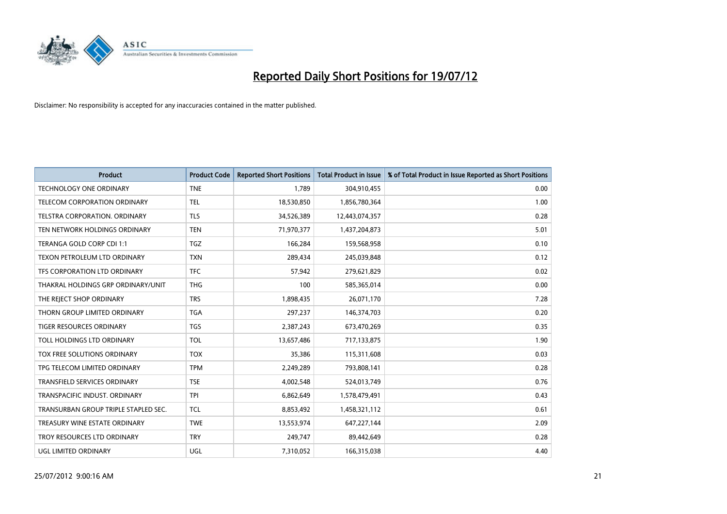

| <b>Product</b>                       | <b>Product Code</b> | <b>Reported Short Positions</b> | <b>Total Product in Issue</b> | % of Total Product in Issue Reported as Short Positions |
|--------------------------------------|---------------------|---------------------------------|-------------------------------|---------------------------------------------------------|
| <b>TECHNOLOGY ONE ORDINARY</b>       | <b>TNE</b>          | 1,789                           | 304,910,455                   | 0.00                                                    |
| <b>TELECOM CORPORATION ORDINARY</b>  | <b>TEL</b>          | 18,530,850                      | 1,856,780,364                 | 1.00                                                    |
| <b>TELSTRA CORPORATION, ORDINARY</b> | <b>TLS</b>          | 34,526,389                      | 12,443,074,357                | 0.28                                                    |
| TEN NETWORK HOLDINGS ORDINARY        | <b>TEN</b>          | 71,970,377                      | 1,437,204,873                 | 5.01                                                    |
| TERANGA GOLD CORP CDI 1:1            | <b>TGZ</b>          | 166.284                         | 159,568,958                   | 0.10                                                    |
| TEXON PETROLEUM LTD ORDINARY         | <b>TXN</b>          | 289,434                         | 245,039,848                   | 0.12                                                    |
| TFS CORPORATION LTD ORDINARY         | <b>TFC</b>          | 57,942                          | 279,621,829                   | 0.02                                                    |
| THAKRAL HOLDINGS GRP ORDINARY/UNIT   | <b>THG</b>          | 100                             | 585,365,014                   | 0.00                                                    |
| THE REJECT SHOP ORDINARY             | <b>TRS</b>          | 1,898,435                       | 26,071,170                    | 7.28                                                    |
| THORN GROUP LIMITED ORDINARY         | <b>TGA</b>          | 297,237                         | 146,374,703                   | 0.20                                                    |
| <b>TIGER RESOURCES ORDINARY</b>      | <b>TGS</b>          | 2,387,243                       | 673,470,269                   | 0.35                                                    |
| TOLL HOLDINGS LTD ORDINARY           | <b>TOL</b>          | 13,657,486                      | 717,133,875                   | 1.90                                                    |
| <b>TOX FREE SOLUTIONS ORDINARY</b>   | <b>TOX</b>          | 35,386                          | 115,311,608                   | 0.03                                                    |
| TPG TELECOM LIMITED ORDINARY         | <b>TPM</b>          | 2,249,289                       | 793,808,141                   | 0.28                                                    |
| <b>TRANSFIELD SERVICES ORDINARY</b>  | <b>TSE</b>          | 4,002,548                       | 524,013,749                   | 0.76                                                    |
| TRANSPACIFIC INDUST, ORDINARY        | <b>TPI</b>          | 6,862,649                       | 1,578,479,491                 | 0.43                                                    |
| TRANSURBAN GROUP TRIPLE STAPLED SEC. | <b>TCL</b>          | 8,853,492                       | 1,458,321,112                 | 0.61                                                    |
| TREASURY WINE ESTATE ORDINARY        | <b>TWE</b>          | 13,553,974                      | 647,227,144                   | 2.09                                                    |
| TROY RESOURCES LTD ORDINARY          | <b>TRY</b>          | 249,747                         | 89,442,649                    | 0.28                                                    |
| <b>UGL LIMITED ORDINARY</b>          | UGL                 | 7,310,052                       | 166,315,038                   | 4.40                                                    |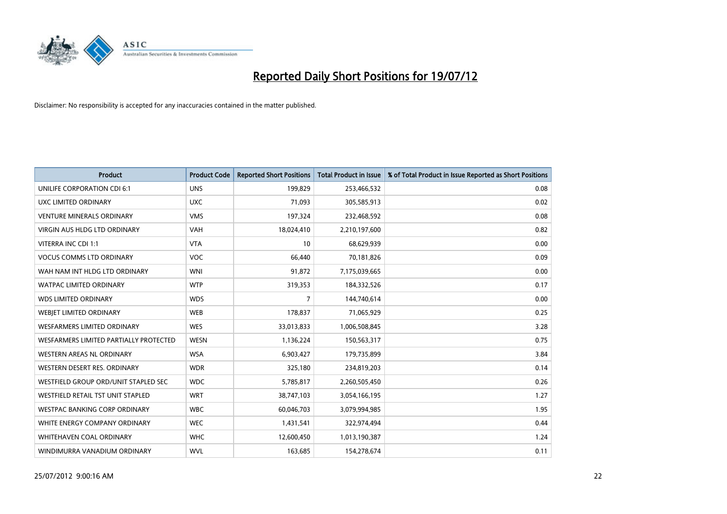

| <b>Product</b>                         | <b>Product Code</b> | <b>Reported Short Positions</b> | <b>Total Product in Issue</b> | % of Total Product in Issue Reported as Short Positions |
|----------------------------------------|---------------------|---------------------------------|-------------------------------|---------------------------------------------------------|
| UNILIFE CORPORATION CDI 6:1            | <b>UNS</b>          | 199,829                         | 253,466,532                   | 0.08                                                    |
| UXC LIMITED ORDINARY                   | <b>UXC</b>          | 71,093                          | 305,585,913                   | 0.02                                                    |
| <b>VENTURE MINERALS ORDINARY</b>       | <b>VMS</b>          | 197,324                         | 232,468,592                   | 0.08                                                    |
| VIRGIN AUS HLDG LTD ORDINARY           | <b>VAH</b>          | 18,024,410                      | 2,210,197,600                 | 0.82                                                    |
| VITERRA INC CDI 1:1                    | <b>VTA</b>          | 10                              | 68,629,939                    | 0.00                                                    |
| <b>VOCUS COMMS LTD ORDINARY</b>        | <b>VOC</b>          | 66,440                          | 70,181,826                    | 0.09                                                    |
| WAH NAM INT HLDG LTD ORDINARY          | <b>WNI</b>          | 91,872                          | 7,175,039,665                 | 0.00                                                    |
| WATPAC LIMITED ORDINARY                | <b>WTP</b>          | 319,353                         | 184,332,526                   | 0.17                                                    |
| <b>WDS LIMITED ORDINARY</b>            | <b>WDS</b>          | 7                               | 144,740,614                   | 0.00                                                    |
| WEBIET LIMITED ORDINARY                | <b>WEB</b>          | 178,837                         | 71,065,929                    | 0.25                                                    |
| WESFARMERS LIMITED ORDINARY            | <b>WES</b>          | 33,013,833                      | 1,006,508,845                 | 3.28                                                    |
| WESFARMERS LIMITED PARTIALLY PROTECTED | <b>WESN</b>         | 1,136,224                       | 150,563,317                   | 0.75                                                    |
| WESTERN AREAS NL ORDINARY              | <b>WSA</b>          | 6,903,427                       | 179,735,899                   | 3.84                                                    |
| WESTERN DESERT RES. ORDINARY           | <b>WDR</b>          | 325,180                         | 234,819,203                   | 0.14                                                    |
| WESTFIELD GROUP ORD/UNIT STAPLED SEC   | <b>WDC</b>          | 5,785,817                       | 2,260,505,450                 | 0.26                                                    |
| WESTFIELD RETAIL TST UNIT STAPLED      | <b>WRT</b>          | 38,747,103                      | 3,054,166,195                 | 1.27                                                    |
| WESTPAC BANKING CORP ORDINARY          | <b>WBC</b>          | 60,046,703                      | 3,079,994,985                 | 1.95                                                    |
| WHITE ENERGY COMPANY ORDINARY          | <b>WEC</b>          | 1,431,541                       | 322,974,494                   | 0.44                                                    |
| <b>WHITEHAVEN COAL ORDINARY</b>        | <b>WHC</b>          | 12,600,450                      | 1,013,190,387                 | 1.24                                                    |
| WINDIMURRA VANADIUM ORDINARY           | <b>WVL</b>          | 163,685                         | 154,278,674                   | 0.11                                                    |